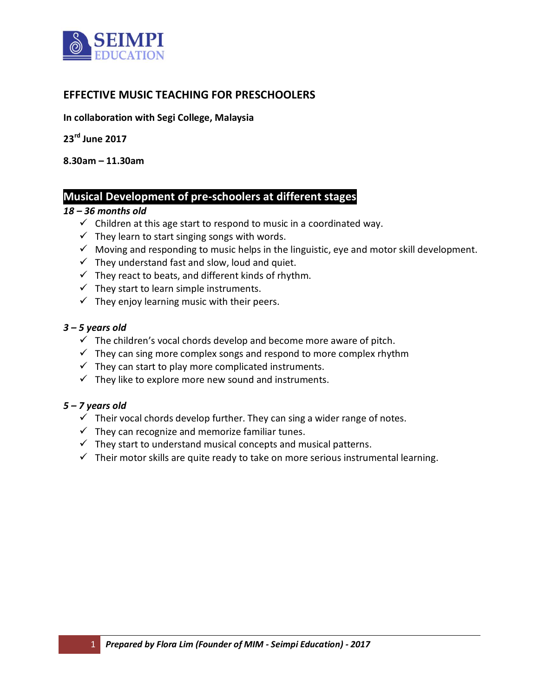

### **EFFECTIVE MUSIC TEACHING FOR PRESCHOOLERS**

**In collaboration with Segi College, Malaysia**

**23rd June 2017**

**8.30am – 11.30am**

### **Musical Development of pre-schoolers at different stages**

#### *18 – 36 months old*

- $\checkmark$  Children at this age start to respond to music in a coordinated way.
- $\checkmark$  They learn to start singing songs with words.
- $\checkmark$  Moving and responding to music helps in the linguistic, eye and motor skill development.
- $\checkmark$  They understand fast and slow, loud and quiet.
- $\checkmark$  They react to beats, and different kinds of rhythm.
- $\checkmark$  They start to learn simple instruments.
- $\checkmark$  They enjoy learning music with their peers.

#### *3 – 5 years old*

- $\checkmark$  The children's vocal chords develop and become more aware of pitch.
- $\checkmark$  They can sing more complex songs and respond to more complex rhythm
- $\checkmark$  They can start to play more complicated instruments.
- $\checkmark$  They like to explore more new sound and instruments.

#### *5 – 7 years old*

- $\checkmark$  Their vocal chords develop further. They can sing a wider range of notes.
- $\checkmark$  They can recognize and memorize familiar tunes.
- $\checkmark$  They start to understand musical concepts and musical patterns.
- $\checkmark$  Their motor skills are quite ready to take on more serious instrumental learning.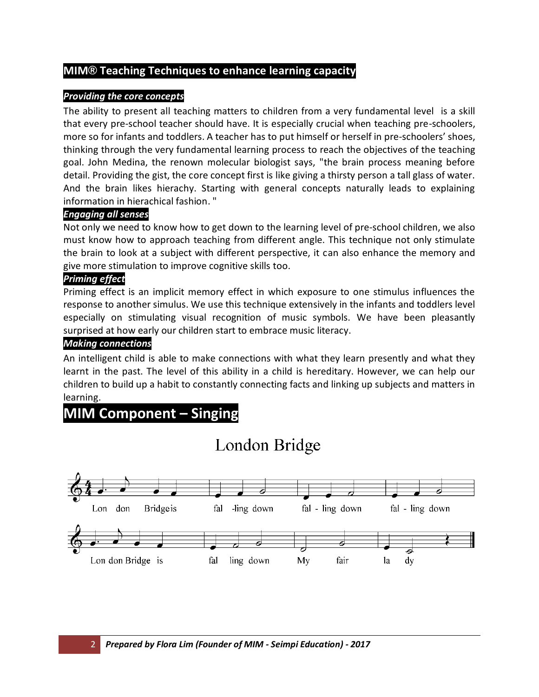#### **MIM® Teaching Techniques to enhance learning capacity**

#### *Providing the core concepts*

The ability to present all teaching matters to children from a very fundamental level is a skill that every pre-school teacher should have. It is especially crucial when teaching pre-schoolers, more so for infants and toddlers. A teacher has to put himself or herself in pre-schoolers' shoes, thinking through the very fundamental learning process to reach the objectives of the teaching goal. John Medina, the renown molecular biologist says, "the brain process meaning before detail. Providing the gist, the core concept first is like giving a thirsty person a tall glass of water. And the brain likes hierachy. Starting with general concepts naturally leads to explaining information in hierachical fashion. "

#### *Engaging all senses*

Not only we need to know how to get down to the learning level of pre-school children, we also must know how to approach teaching from different angle. This technique not only stimulate the brain to look at a subject with different perspective, it can also enhance the memory and give more stimulation to improve cognitive skills too.

#### *Priming effect*

Priming effect is an implicit memory effect in which exposure to one stimulus influences the response to another simulus. We use this technique extensively in the infants and toddlers level especially on stimulating visual recognition of music symbols. We have been pleasantly surprised at how early our children start to embrace music literacy.

#### *Making connections*

An intelligent child is able to make connections with what they learn presently and what they learnt in the past. The level of this ability in a child is hereditary. However, we can help our children to build up a habit to constantly connecting facts and linking up subjects and matters in learning.

## **MIM Component – Singing**

# London Bridge

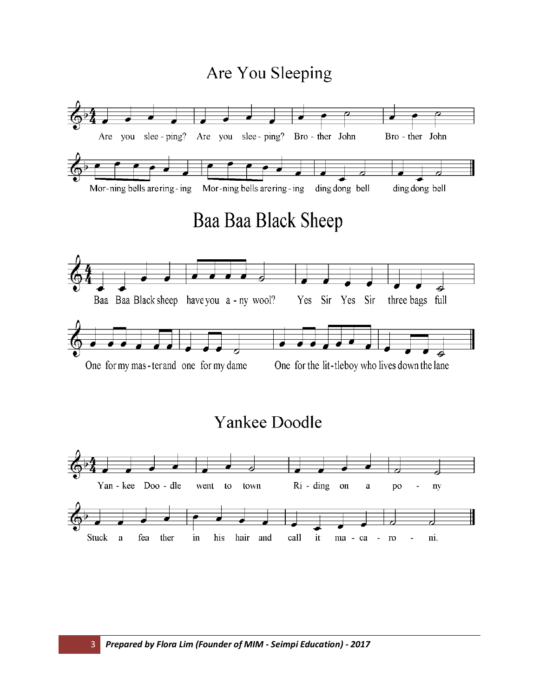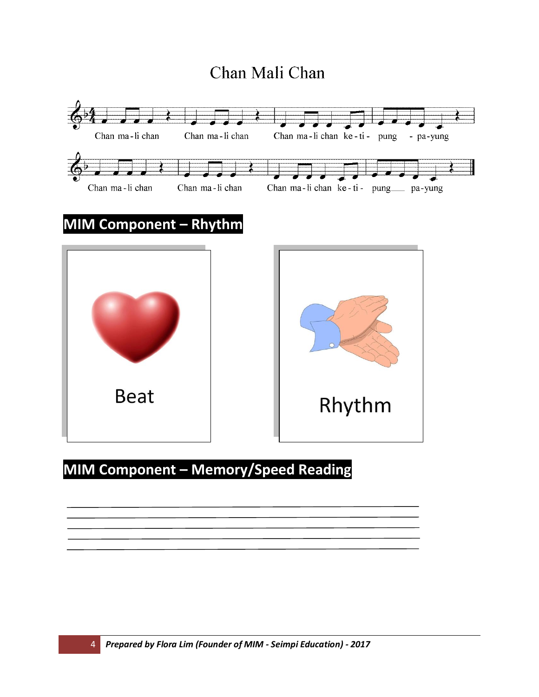# Chan Mali Chan



# **MIM Component – Memory/Speed Reading**